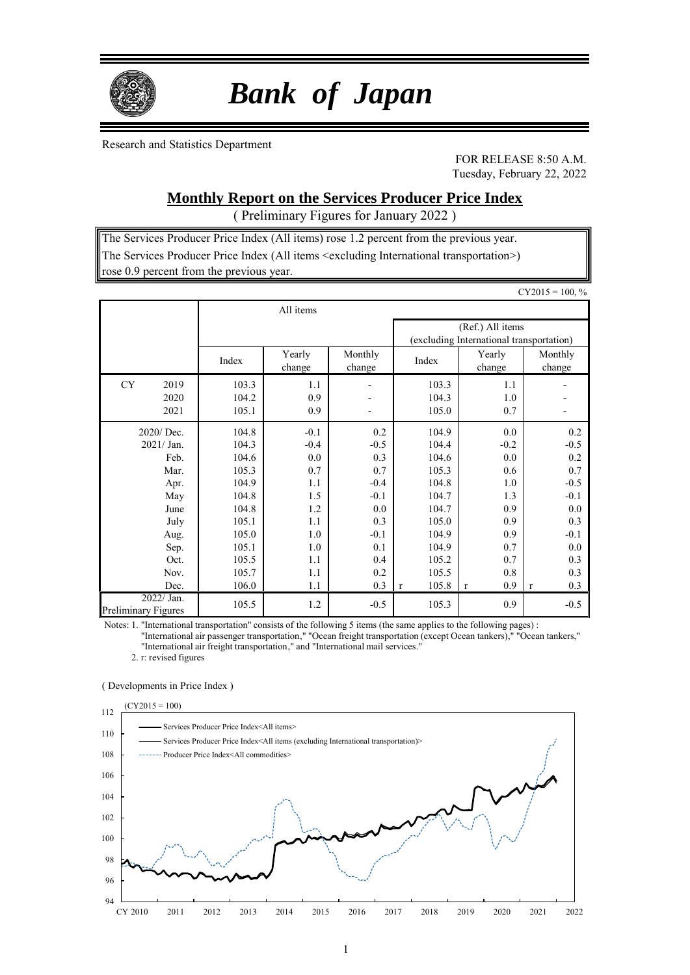

# *Bank of Japan*

Research and Statistics Department

FOR RELEASE 8:50 A.M. Tuesday, February 22, 2022

## **Monthly Report on the Services Producer Price Index**

( Preliminary Figures for January 2022 )

The Services Producer Price Index (All items) rose 1.2 percent from the previous year. The Services Producer Price Index (All items <excluding International transportation>) rose 0.9 percent from the previous year.

|                                   |       |                  |                   |                                                              |                     | $CY2015 = 100, %$  |  |  |
|-----------------------------------|-------|------------------|-------------------|--------------------------------------------------------------|---------------------|--------------------|--|--|
|                                   |       | All items        |                   |                                                              |                     |                    |  |  |
|                                   |       |                  |                   | (Ref.) All items<br>(excluding International transportation) |                     |                    |  |  |
|                                   | Index | Yearly<br>change | Monthly<br>change | Index                                                        | Yearly<br>change    | Monthly<br>change  |  |  |
| <b>CY</b><br>2019                 | 103.3 | 1.1              | $\overline{a}$    | 103.3                                                        | 1.1                 |                    |  |  |
| 2020                              | 104.2 | 0.9              |                   | 104.3                                                        | 1.0                 |                    |  |  |
| 2021                              | 105.1 | 0.9              |                   | 105.0                                                        | 0.7                 |                    |  |  |
| $2020/$ Dec.                      | 104.8 | $-0.1$           | 0.2               | 104.9                                                        | 0.0                 | 0.2                |  |  |
| 2021/ Jan.                        | 104.3 | $-0.4$           | $-0.5$            | 104.4                                                        | $-0.2$              | $-0.5$             |  |  |
| Feb.                              | 104.6 | 0.0              | 0.3               | 104.6                                                        | 0.0                 | 0.2                |  |  |
| Mar.                              | 105.3 | 0.7              | 0.7               | 105.3                                                        | 0.6                 | 0.7                |  |  |
| Apr.                              | 104.9 | 1.1              | $-0.4$            | 104.8                                                        | 1.0                 | $-0.5$             |  |  |
| May                               | 104.8 | 1.5              | $-0.1$            | 104.7                                                        | 1.3                 | $-0.1$             |  |  |
| June                              | 104.8 | 1.2              | 0.0               | 104.7                                                        | 0.9                 | 0.0                |  |  |
| July                              | 105.1 | 1.1              | 0.3               | 105.0                                                        | 0.9                 | 0.3                |  |  |
| Aug.                              | 105.0 | 1.0              | $-0.1$            | 104.9                                                        | 0.9                 | $-0.1$             |  |  |
| Sep.                              | 105.1 | 1.0              | 0.1               | 104.9                                                        | 0.7                 | 0.0                |  |  |
| Oct.                              | 105.5 | 1.1              | 0.4               | 105.2                                                        | 0.7                 | 0.3                |  |  |
| Nov.                              | 105.7 | 1.1              | 0.2               | 105.5                                                        | 0.8                 | 0.3                |  |  |
| Dec.                              | 106.0 | 1.1              | 0.3               | 105.8<br>$\mathbf{r}$                                        | 0.9<br>$\mathbf{r}$ | 0.3<br>$\mathbf r$ |  |  |
| 2022/ Jan.<br>Preliminary Figures | 105.5 | 1.2              | $-0.5$            | 105.3                                                        | 0.9                 | $-0.5$             |  |  |

Notes: 1. "International transportation" consists of the following 5 items (the same applies to the following pages) :

"International air passenger transportation," "Ocean freight transportation (except Ocean tankers)," "Ocean tankers," "International air freight transportation," and "International mail services."

2. r: revised figures

#### ( Developments in Price Index )

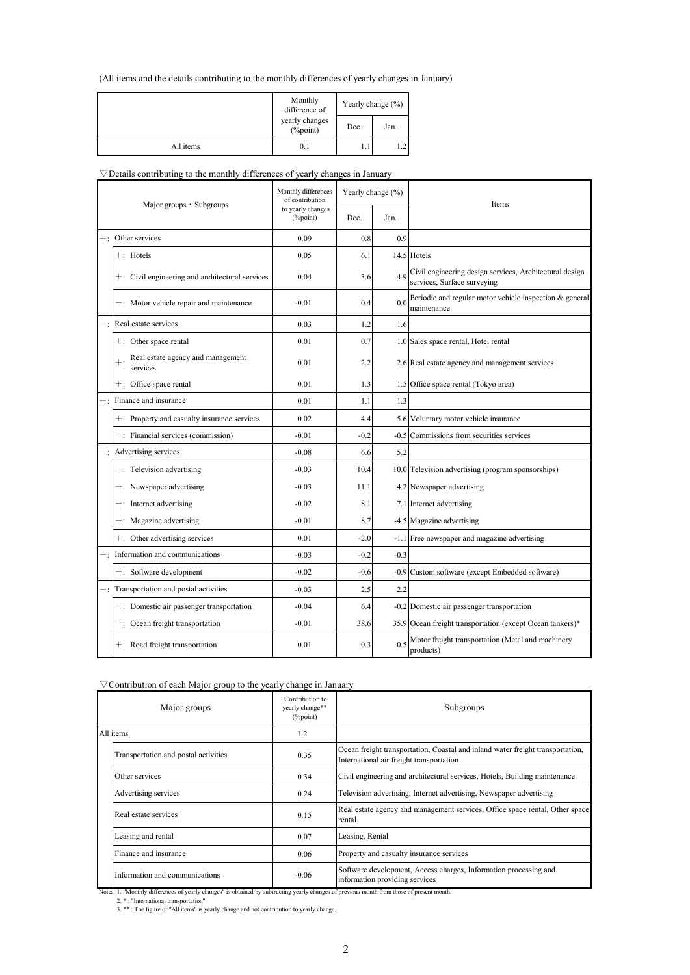(All items and the details contributing to the monthly differences of yearly changes in January)

|           | Monthly<br>difference of       | Yearly change $(\% )$ |      |  |
|-----------|--------------------------------|-----------------------|------|--|
|           | yearly changes<br>$(\%$ point) | Dec.                  | Jan. |  |
| All items | 0.1                            |                       | 1.2  |  |

## $\nabla$ Details contributing to the monthly differences of yearly changes in January

| Major groups • Subgroups |                                                 | Monthly differences<br>of contribution | Yearly change (%) |        | <b>Items</b>                                                                           |
|--------------------------|-------------------------------------------------|----------------------------------------|-------------------|--------|----------------------------------------------------------------------------------------|
|                          |                                                 | to yearly changes<br>$(\%$ point)      | Dec.              | Jan.   |                                                                                        |
|                          | +: Other services                               | 0.09                                   | 0.8               | 0.9    |                                                                                        |
|                          | $+:$ Hotels                                     | 0.05                                   | 6.1               |        | 14.5 Hotels                                                                            |
|                          | +: Civil engineering and architectural services | 0.04                                   | 3.6               | 4.9    | Civil engineering design services, Architectural design<br>services, Surface surveying |
|                          | -: Motor vehicle repair and maintenance         | $-0.01$                                | 0.4               | 0.0    | Periodic and regular motor vehicle inspection & general<br>maintenance                 |
|                          | +: Real estate services                         | 0.03                                   | 1.2               | 1.6    |                                                                                        |
|                          | $+$ : Other space rental                        | 0.01                                   | 0.7               |        | 1.0 Sales space rental, Hotel rental                                                   |
|                          | Real estate agency and management<br>services   | 0.01                                   | 2.2               |        | 2.6 Real estate agency and management services                                         |
|                          | +: Office space rental                          | 0.01                                   | 1.3               |        | 1.5 Office space rental (Tokyo area)                                                   |
|                          | $+$ : Finance and insurance                     | 0.01                                   | 1.1               | 1.3    |                                                                                        |
|                          | +: Property and casualty insurance services     | 0.02                                   | 4.4               |        | 5.6 Voluntary motor vehicle insurance                                                  |
|                          | -: Financial services (commission)              | $-0.01$                                | $-0.2$            |        | -0.5 Commissions from securities services                                              |
|                          | -: Advertising services                         | $-0.08$                                | 6.6               | 5.2    |                                                                                        |
|                          | $-$ : Television advertising                    | $-0.03$                                | 10.4              |        | 10.0 Television advertising (program sponsorships)                                     |
|                          | -: Newspaper advertising                        | $-0.03$                                | 11.1              |        | 4.2 Newspaper advertising                                                              |
|                          | -: Internet advertising                         | $-0.02$                                | 8.1               |        | 7.1 Internet advertising                                                               |
|                          | $-$ : Magazine advertising                      | $-0.01$                                | 8.7               |        | -4.5 Magazine advertising                                                              |
|                          | +: Other advertising services                   | 0.01                                   | $-2.0$            |        | -1.1 Free newspaper and magazine advertising                                           |
|                          | Information and communications                  | $-0.03$                                | $-0.2$            | $-0.3$ |                                                                                        |
|                          | -: Software development                         | $-0.02$                                | $-0.6$            |        | -0.9 Custom software (except Embedded software)                                        |
|                          | -: Transportation and postal activities         | $-0.03$                                | 2.5               | 2.2    |                                                                                        |
|                          | -: Domestic air passenger transportation        | $-0.04$                                | 6.4               |        | -0.2 Domestic air passenger transportation                                             |
|                          | $-$ : Ocean freight transportation              | $-0.01$                                | 38.6              |        | 35.9 Ocean freight transportation (except Ocean tankers)*                              |
|                          | $+$ : Road freight transportation               | 0.01                                   | 0.3               | 0.5    | Motor freight transportation (Metal and machinery<br>products)                         |

## $\nabla$  Contribution of each Major group to the yearly change in January

| Major groups |                                                                                                                                            | Contribution to<br>yearly change**<br>$(\%$ point) | Subgroups                                                                                                                  |
|--------------|--------------------------------------------------------------------------------------------------------------------------------------------|----------------------------------------------------|----------------------------------------------------------------------------------------------------------------------------|
|              | All items                                                                                                                                  | 1.2                                                |                                                                                                                            |
|              | Transportation and postal activities                                                                                                       | 0.35                                               | Ocean freight transportation, Coastal and inland water freight transportation,<br>International air freight transportation |
|              | Other services                                                                                                                             | 0.34                                               | Civil engineering and architectural services, Hotels, Building maintenance                                                 |
|              | Advertising services                                                                                                                       | 0.24                                               | Television advertising, Internet advertising, Newspaper advertising                                                        |
|              | Real estate services                                                                                                                       | 0.15                                               | Real estate agency and management services, Office space rental, Other space<br>rental                                     |
|              | Leasing and rental                                                                                                                         | 0.07                                               | Leasing, Rental                                                                                                            |
|              | Finance and insurance                                                                                                                      | 0.06                                               | Property and casualty insurance services                                                                                   |
|              | Information and communications                                                                                                             | $-0.06$                                            | Software development, Access charges, Information processing and<br>information providing services                         |
|              | Notes: 1. "Monthly differences of yearly changes" is obtained by subtracting yearly changes of previous month from those of present month. |                                                    |                                                                                                                            |

Notes: 1. "Monthly differences of yearly changes" is obtained by subtracting yearly changes of previous month from those of present month.<br>2. \*: "International transportation"<br>3. \*\*: The figure of "All items" is yearly cha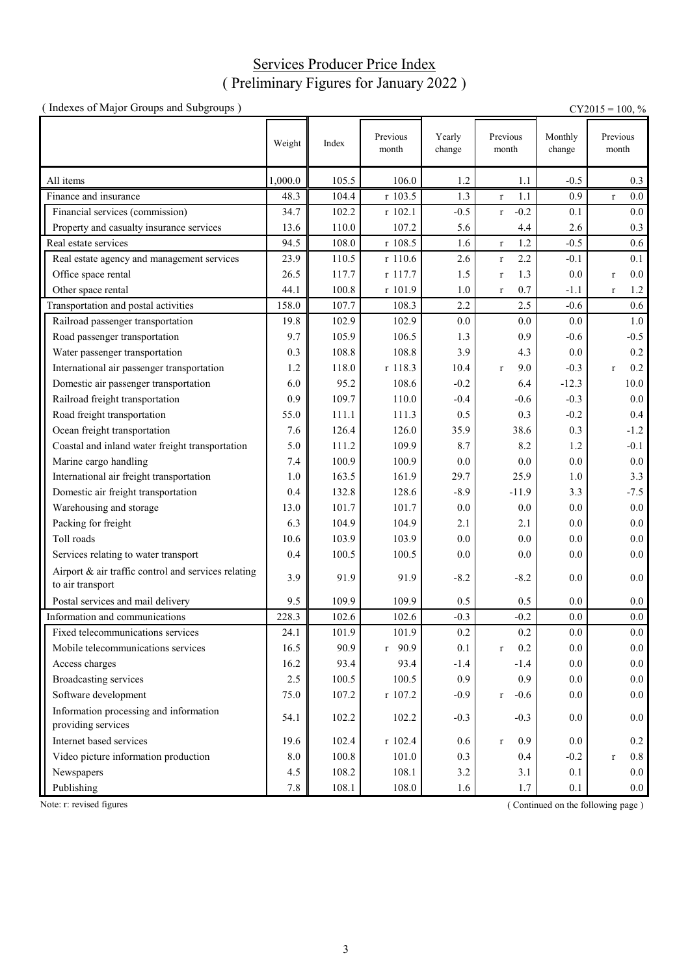## Services Producer Price Index ( Preliminary Figures for January 2022 )

| (Indexes of Major Groups and Subgroups)                                 |         |       |                   |                  |                       |                   | $CY2015 = 100, %$       |
|-------------------------------------------------------------------------|---------|-------|-------------------|------------------|-----------------------|-------------------|-------------------------|
|                                                                         | Weight  | Index | Previous<br>month | Yearly<br>change | Previous<br>month     | Monthly<br>change | Previous<br>month       |
| All items                                                               | 1,000.0 | 105.5 | 106.0             | 1.2              | 1.1                   | $-0.5$            | 0.3                     |
| Finance and insurance                                                   | 48.3    | 104.4 | r 103.5           | 1.3              | 1.1<br>$\mathbf{r}$   | 0.9               | $0.0\,$<br>$\mathbf{r}$ |
| Financial services (commission)                                         | 34.7    | 102.2 | r 102.1           | $-0.5$           | $-0.2$<br>$\bf r$     | 0.1               | 0.0                     |
| Property and casualty insurance services                                | 13.6    | 110.0 | 107.2             | 5.6              | 4.4                   | 2.6               | 0.3                     |
| Real estate services                                                    | 94.5    | 108.0 | r 108.5           | 1.6              | 1.2<br>$\mathbf r$    | $-0.5$            | 0.6                     |
| Real estate agency and management services                              | 23.9    | 110.5 | r 110.6           | 2.6              | 2.2<br>$\mathbf r$    | $-0.1$            | 0.1                     |
| Office space rental                                                     | 26.5    | 117.7 | r 117.7           | 1.5              | 1.3<br>$\mathbf r$    | 0.0               | $0.0\,$<br>$\mathbf r$  |
| Other space rental                                                      | 44.1    | 100.8 | r 101.9           | 1.0              | 0.7<br>$\mathbf{r}$   | $-1.1$            | 1.2<br>$\mathbf r$      |
| Transportation and postal activities                                    | 158.0   | 107.7 | 108.3             | 2.2              | 2.5                   | $-0.6$            | 0.6                     |
| Railroad passenger transportation                                       | 19.8    | 102.9 | 102.9             | 0.0              | 0.0                   | 0.0               | 1.0                     |
| Road passenger transportation                                           | 9.7     | 105.9 | 106.5             | 1.3              | 0.9                   | $-0.6$            | $-0.5$                  |
| Water passenger transportation                                          | 0.3     | 108.8 | 108.8             | 3.9              | 4.3                   | 0.0               | 0.2                     |
| International air passenger transportation                              | 1.2     | 118.0 | r 118.3           | 10.4             | 9.0<br>$\mathbf{r}$   | $-0.3$            | 0.2<br>$\mathbf{r}$     |
| Domestic air passenger transportation                                   | 6.0     | 95.2  | 108.6             | $-0.2$           | 6.4                   | $-12.3$           | 10.0                    |
| Railroad freight transportation                                         | 0.9     | 109.7 | 110.0             | $-0.4$           | $-0.6$                | $-0.3$            | 0.0                     |
| Road freight transportation                                             | 55.0    | 111.1 | 111.3             | 0.5              | 0.3                   | $-0.2$            | 0.4                     |
| Ocean freight transportation                                            | 7.6     | 126.4 | 126.0             | 35.9             | 38.6                  | 0.3               | $-1.2$                  |
| Coastal and inland water freight transportation                         | 5.0     | 111.2 | 109.9             | 8.7              | 8.2                   | 1.2               | $-0.1$                  |
| Marine cargo handling                                                   | 7.4     | 100.9 | 100.9             | 0.0              | 0.0                   | 0.0               | $0.0\,$                 |
| International air freight transportation                                | 1.0     | 163.5 | 161.9             | 29.7             | 25.9                  | 1.0               | 3.3                     |
| Domestic air freight transportation                                     | 0.4     | 132.8 | 128.6             | $-8.9$           | $-11.9$               | 3.3               | $-7.5$                  |
| Warehousing and storage                                                 | 13.0    | 101.7 | 101.7             | $0.0\,$          | 0.0                   | 0.0               | $0.0\,$                 |
| Packing for freight                                                     | 6.3     | 104.9 | 104.9             | 2.1              | 2.1                   | 0.0               | 0.0                     |
| Toll roads                                                              | 10.6    | 103.9 | 103.9             | 0.0              | 0.0                   | 0.0               | 0.0                     |
| Services relating to water transport                                    | 0.4     | 100.5 | 100.5             | 0.0              | 0.0                   | 0.0               | 0.0                     |
| Airport & air traffic control and services relating<br>to air transport | 3.9     | 91.9  | 91.9              | $-8.2$           | $-8.2$                | 0.0               | 0.0                     |
| Postal services and mail delivery                                       | 9.5     | 109.9 | 109.9             | 0.5              | 0.5                   | 0.0               | 0.0                     |
| Information and communications                                          | 228.3   | 102.6 | 102.6             | $-0.3$           | $-0.2$                | $0.0\,$           | $0.0\,$                 |
| Fixed telecommunications services                                       | 24.1    | 101.9 | 101.9             | 0.2              | 0.2                   | 0.0               | $0.0\,$                 |
| Mobile telecommunications services                                      | 16.5    | 90.9  | $r$ 90.9          | 0.1              | 0.2<br>$\mathbf{r}$   | 0.0               | 0.0                     |
| Access charges                                                          | 16.2    | 93.4  | 93.4              | $-1.4$           | $-1.4$                | 0.0               | 0.0                     |
| <b>Broadcasting services</b>                                            | 2.5     | 100.5 | 100.5             | 0.9              | 0.9                   | $0.0\,$           | 0.0                     |
| Software development                                                    | 75.0    | 107.2 | r 107.2           | $-0.9$           | $-0.6$<br>$\mathbf r$ | 0.0               | 0.0                     |
| Information processing and information<br>providing services            | 54.1    | 102.2 | 102.2             | $-0.3$           | $-0.3$                | 0.0               | 0.0                     |
| Internet based services                                                 | 19.6    | 102.4 | r 102.4           | 0.6              | 0.9<br>$\mathbf r$    | 0.0               | 0.2                     |
| Video picture information production                                    | 8.0     | 100.8 | 101.0             | 0.3              | 0.4                   | $-0.2$            | $0.8\,$<br>$\mathbf r$  |
| Newspapers                                                              | 4.5     | 108.2 | 108.1             | 3.2              | 3.1                   | 0.1               | 0.0                     |
| Publishing                                                              | 7.8     | 108.1 | 108.0             | 1.6              | 1.7                   | 0.1               | $0.0\,$                 |

Note: r: revised figures (Continued on the following page)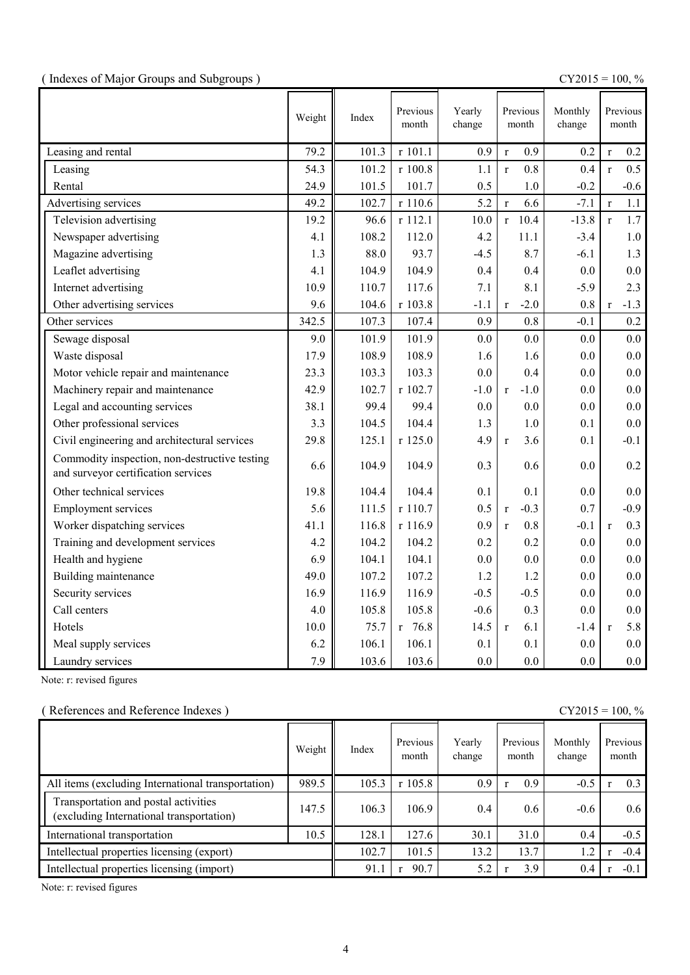|  | (Indexes of Major Groups and Subgroups) |  |
|--|-----------------------------------------|--|
|  |                                         |  |

(  $\text{CY2015} = 100, \%$ 

|                                                                                      | Weight | Index | Previous<br>month | Yearly<br>change | Previous<br>month      | Monthly<br>change | Previous<br>month      |
|--------------------------------------------------------------------------------------|--------|-------|-------------------|------------------|------------------------|-------------------|------------------------|
| Leasing and rental                                                                   | 79.2   | 101.3 | r 101.1           | 0.9              | 0.9<br>$\mathbf{r}$    | 0.2               | 0.2<br>$\mathbf{r}$    |
| Leasing                                                                              | 54.3   | 101.2 | r 100.8           | 1.1              | 0.8<br>$\mathbf{r}$    | 0.4               | 0.5<br>$\mathbf{r}$    |
| Rental                                                                               | 24.9   | 101.5 | 101.7             | 0.5              | 1.0                    | $-0.2$            | $-0.6$                 |
| Advertising services                                                                 | 49.2   | 102.7 | r 110.6           | 5.2              | 6.6<br>$\mathbf r$     | $-7.1$            | 1.1<br>$\mathbf r$     |
| Television advertising                                                               | 19.2   | 96.6  | r 112.1           | 10.0             | 10.4<br>$\mathbf{r}$   | $-13.8$           | 1.7<br>$\mathbf{r}$    |
| Newspaper advertising                                                                | 4.1    | 108.2 | 112.0             | 4.2              | 11.1                   | $-3.4$            | 1.0                    |
| Magazine advertising                                                                 | 1.3    | 88.0  | 93.7              | $-4.5$           | 8.7                    | $-6.1$            | 1.3                    |
| Leaflet advertising                                                                  | 4.1    | 104.9 | 104.9             | 0.4              | 0.4                    | 0.0               | 0.0                    |
| Internet advertising                                                                 | 10.9   | 110.7 | 117.6             | 7.1              | 8.1                    | $-5.9$            | 2.3                    |
| Other advertising services                                                           | 9.6    | 104.6 | r 103.8           | $-1.1$           | $-2.0$<br>$\mathbf{r}$ | 0.8               | $-1.3$<br>$\mathbf{r}$ |
| Other services                                                                       | 342.5  | 107.3 | 107.4             | 0.9              | 0.8                    | $-0.1$            | 0.2                    |
| Sewage disposal                                                                      | 9.0    | 101.9 | 101.9             | 0.0              | 0.0                    | 0.0               | 0.0                    |
| Waste disposal                                                                       | 17.9   | 108.9 | 108.9             | 1.6              | 1.6                    | 0.0               | 0.0                    |
| Motor vehicle repair and maintenance                                                 | 23.3   | 103.3 | 103.3             | 0.0              | 0.4                    | 0.0               | 0.0                    |
| Machinery repair and maintenance                                                     | 42.9   | 102.7 | r 102.7           | $-1.0$           | $-1.0$<br>$\mathbf r$  | 0.0               | 0.0                    |
| Legal and accounting services                                                        | 38.1   | 99.4  | 99.4              | 0.0              | 0.0                    | 0.0               | 0.0                    |
| Other professional services                                                          | 3.3    | 104.5 | 104.4             | 1.3              | 1.0                    | 0.1               | 0.0                    |
| Civil engineering and architectural services                                         | 29.8   | 125.1 | r 125.0           | 4.9              | 3.6<br>$\mathbf{r}$    | 0.1               | $-0.1$                 |
| Commodity inspection, non-destructive testing<br>and surveyor certification services | 6.6    | 104.9 | 104.9             | 0.3              | 0.6                    | 0.0               | 0.2                    |
| Other technical services                                                             | 19.8   | 104.4 | 104.4             | 0.1              | 0.1                    | 0.0               | 0.0                    |
| <b>Employment services</b>                                                           | 5.6    | 111.5 | r 110.7           | 0.5              | $-0.3$<br>$\mathbf r$  | 0.7               | $-0.9$                 |
| Worker dispatching services                                                          | 41.1   | 116.8 | r 116.9           | 0.9              | 0.8<br>$\mathbf{r}$    | $-0.1$            | 0.3<br>$\mathbf{r}$    |
| Training and development services                                                    | 4.2    | 104.2 | 104.2             | 0.2              | 0.2                    | 0.0               | 0.0                    |
| Health and hygiene                                                                   | 6.9    | 104.1 | 104.1             | 0.0              | 0.0                    | 0.0               | 0.0                    |
| Building maintenance                                                                 | 49.0   | 107.2 | 107.2             | 1.2              | 1.2                    | 0.0               | 0.0                    |
| Security services                                                                    | 16.9   | 116.9 | 116.9             | $-0.5$           | $-0.5$                 | 0.0               | 0.0                    |
| Call centers                                                                         | 4.0    | 105.8 | 105.8             | $-0.6$           | 0.3                    | 0.0               | 0.0                    |
| Hotels                                                                               | 10.0   | 75.7  | $r$ 76.8          | 14.5             | 6.1<br>$\mathbf{r}$    | $-1.4$            | 5.8<br>$\mathbf{r}$    |
| Meal supply services                                                                 | 6.2    | 106.1 | 106.1             | 0.1              | 0.1                    | 0.0               | 0.0                    |
| Laundry services                                                                     | 7.9    | 103.6 | 103.6             | 0.0              | 0.0                    | 0.0               | $0.0\,$                |

Note: r: revised figures

## ( References and Reference Indexes ) CY2015 = 100, %

|                                                                                  | Weight | Index | Previous<br>month | Yearly<br>change | Previous<br>month | Monthly<br>change | Previous<br>month |
|----------------------------------------------------------------------------------|--------|-------|-------------------|------------------|-------------------|-------------------|-------------------|
| All items (excluding International transportation)                               | 989.5  | 105.3 | r 105.8           | 0.9              | 0.9               | $-0.5$            | 0.3               |
| Transportation and postal activities<br>(excluding International transportation) | 147.5  | 106.3 | 106.9             | 0.4              | 0.6               | $-0.6$            | 0.6               |
| International transportation                                                     | 10.5   | 128.1 | 127.6             | 30.1             | 31.0              | 0.4               | $-0.5$            |
| Intellectual properties licensing (export)                                       |        | 102.7 | 101.5             | 13.2             | 13.7              | 1.2               | $-0.4$            |
| Intellectual properties licensing (import)                                       |        | 91.1  | 90.7              | 5.2              | 3.9               | 0.4               | $-0.1$            |

Note: r: revised figures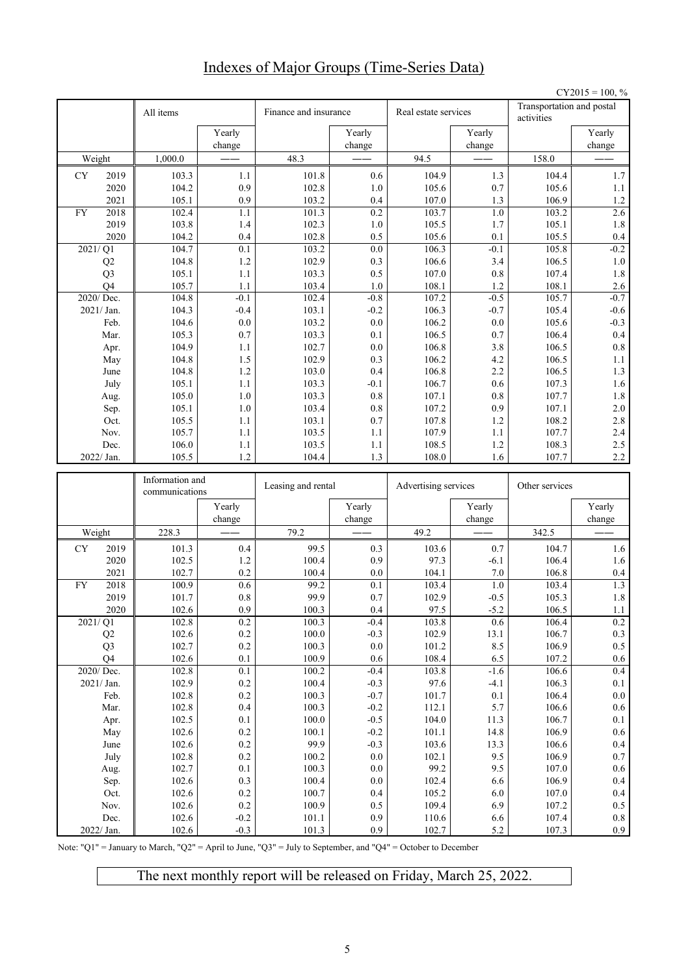# Indexes of Major Groups (Time-Series Data)

|           |                |                                   |                       |                    |                      |                      |                                         |                | $CY2015 = 100, %$ |
|-----------|----------------|-----------------------------------|-----------------------|--------------------|----------------------|----------------------|-----------------------------------------|----------------|-------------------|
|           | All items      |                                   | Finance and insurance |                    | Real estate services |                      | Transportation and postal<br>activities |                |                   |
|           |                |                                   | Yearly<br>change      |                    | Yearly<br>change     |                      | Yearly<br>change                        |                | Yearly<br>change  |
|           | Weight         | 1,000.0                           |                       | 48.3               |                      | 94.5                 |                                         | 158.0          |                   |
| CY        | 2019           | 103.3                             | 1.1                   | 101.8              | 0.6                  | 104.9                | 1.3                                     | 104.4          | 1.7               |
|           | 2020           | 104.2                             | 0.9                   | 102.8              | 1.0                  | 105.6                | 0.7                                     | 105.6          | 1.1               |
|           | 2021           | 105.1                             | 0.9                   | 103.2              | 0.4                  | 107.0                | 1.3                                     | 106.9          | 1.2               |
| <b>FY</b> | 2018           | 102.4                             | 1.1                   | 101.3              | $\overline{0.2}$     | 103.7                | 1.0                                     | 103.2          | 2.6               |
|           | 2019           | 103.8                             | 1.4                   | 102.3              | 1.0                  | 105.5                | 1.7                                     | 105.1          | 1.8               |
|           | 2020           | 104.2                             | 0.4                   | 102.8              | 0.5                  | 105.6                | 0.1                                     | 105.5          | $0.4\,$           |
|           | 2021/Q1        | 104.7                             | 0.1                   | 103.2              | 0.0                  | 106.3                | $-0.1$                                  | 105.8          | $-0.2$            |
|           | Q2             | 104.8                             | 1.2                   | 102.9              | 0.3                  | 106.6                | 3.4                                     | 106.5          | $1.0\,$           |
|           | Q <sub>3</sub> | 105.1                             | 1.1                   | 103.3              | 0.5                  | 107.0                | 0.8                                     | 107.4          | 1.8               |
|           | O <sub>4</sub> | 105.7                             | 1.1                   | 103.4              | 1.0                  | 108.1                | 1.2                                     | 108.1          | 2.6               |
|           | 2020/Dec.      | 104.8                             | $-0.1$                | 102.4              | $-0.8$               | 107.2                | $-0.5$                                  | 105.7          | $-0.7$            |
|           | 2021/ Jan.     | 104.3                             | $-0.4$                | 103.1              | $-0.2$               | 106.3                | $-0.7$                                  | 105.4          | $-0.6$            |
|           | Feb.           | 104.6                             | $0.0\,$               | 103.2              | 0.0                  | 106.2                | 0.0                                     | 105.6          | $-0.3$            |
|           | Mar.           | 105.3<br>104.9                    | 0.7<br>1.1            | 103.3<br>102.7     | 0.1<br>0.0           | 106.5<br>106.8       | 0.7<br>3.8                              | 106.4<br>106.5 | 0.4<br>$\rm 0.8$  |
|           | Apr.<br>May    | 104.8                             | 1.5                   | 102.9              | 0.3                  | 106.2                | 4.2                                     | 106.5          | 1.1               |
|           | June           | 104.8                             | 1.2                   | 103.0              | 0.4                  | 106.8                | 2.2                                     | 106.5          | 1.3               |
|           | July           | 105.1                             | 1.1                   | 103.3              | $-0.1$               | 106.7                | 0.6                                     | 107.3          | 1.6               |
|           | Aug.           | 105.0                             | 1.0                   | 103.3              | 0.8                  | 107.1                | 0.8                                     | 107.7          | 1.8               |
|           | Sep.           | 105.1                             | 1.0                   | 103.4              | 0.8                  | 107.2                | 0.9                                     | 107.1          | 2.0               |
|           | Oct.           | 105.5                             | 1.1                   | 103.1              | 0.7                  | 107.8                | 1.2                                     | 108.2          | 2.8               |
|           | Nov.           | 105.7                             | 1.1                   | 103.5              | 1.1                  | 107.9                | 1.1                                     | 107.7          | 2.4               |
|           | Dec.           | 106.0                             | 1.1                   | 103.5              | 1.1                  | 108.5                | 1.2                                     | 108.3          | 2.5               |
|           | 2022/ Jan.     | 105.5                             | 1.2                   | 104.4              | 1.3                  | 108.0                | 1.6                                     | 107.7          | $2.2\,$           |
|           |                |                                   |                       |                    |                      |                      |                                         |                |                   |
|           |                | Information and<br>communications |                       | Leasing and rental |                      | Advertising services |                                         | Other services |                   |
|           |                |                                   | Yearly                |                    | Yearly               |                      | Yearly                                  |                | Yearly            |
|           |                |                                   | change                |                    | change               |                      | change                                  |                | change            |
|           | Weight         | 228.3                             |                       | 79.2               |                      | 49.2                 |                                         | 342.5          |                   |
| CY        | 2019           | 101.3                             | 0.4                   | 99.5               | 0.3                  | 103.6                | 0.7                                     | 104.7          | 1.6               |
|           | 2020           | 102.5                             | 1.2                   | 100.4              | 0.9                  | 97.3                 | $-6.1$                                  | 106.4          | 1.6               |
|           | 2021           | 102.7                             | 0.2                   | 100.4              | 0.0                  | 104.1                | 7.0                                     | 106.8          | $0.4\,$           |
| <b>FY</b> | 2018           | 100.9                             | 0.6                   | 99.2               | 0.1                  | 103.4                | 1.0                                     | 103.4          | 1.3               |
|           | 2019           | 101.7                             | $0.8\,$               | 99.9               | 0.7                  | 102.9                | $-0.5$                                  | 105.3          | 1.8               |
|           | $2020\,$       | 102.6                             | 0.9                   | 100.3              | $0.4\,$              | 97.5                 | $-5.2$                                  | 106.5          | $1.1\,$           |
|           | 2021/Q1        | 102.8                             | 0.2                   | 100.3              | $-0.4$               | 103.8                | $0.6\,$                                 | 106.4          | $0.2\,$           |
|           | Q2             | 102.6                             | $0.2\,$               | 100.0              | $-0.3$               | 102.9                | 13.1                                    | 106.7          | 0.3               |
|           | Q <sub>3</sub> | 102.7                             | $0.2\,$               | 100.3              | $0.0\,$              | 101.2                | 8.5                                     | 106.9          | $0.5\,$           |
|           | Q <sub>4</sub> | 102.6                             | 0.1                   | 100.9              | 0.6                  | 108.4                | 6.5                                     | 107.2          | $0.6\,$           |
|           | 2020/Dec.      | 102.8                             | 0.1                   | 100.2              | $-0.4$               | 103.8                | $-1.6$                                  | 106.6          | $0.4\,$           |
|           | 2021/ Jan.     | 102.9                             | 0.2                   | 100.4              | $-0.3$               | 97.6                 | $-4.1$                                  | 106.3          | $0.1\,$           |
|           | Feb.           | 102.8                             | 0.2                   | 100.3              | $-0.7$               | 101.7                | 0.1                                     | 106.4          | $0.0\,$           |
|           | Mar.           | 102.8                             | $0.4\,$               | 100.3              | $-0.2$               | 112.1                | 5.7                                     | 106.6          | $0.6\,$           |
|           | Apr.           | 102.5                             | 0.1                   | 100.0              | $-0.5$               | 104.0                | 11.3                                    | 106.7          | 0.1               |
|           | May            | 102.6                             | $0.2\,$               | 100.1              | $-0.2$               | 101.1                | 14.8                                    | 106.9          | $0.6\,$           |
|           | June           | 102.6                             | $0.2\,$               | 99.9               | $-0.3$               | 103.6                | 13.3                                    | 106.6          | $0.4\,$           |
|           | July           | 102.8                             | $0.2\,$               | 100.2              | $0.0\,$              | 102.1                | 9.5                                     | 106.9          | 0.7               |
|           | Aug.<br>Sep.   | 102.7<br>102.6                    | 0.1<br>0.3            | 100.3<br>100.4     | $0.0\,$<br>$0.0\,$   | 99.2<br>102.4        | 9.5<br>6.6                              | 107.0<br>106.9 | 0.6<br>0.4        |
|           |                |                                   |                       |                    |                      |                      |                                         |                |                   |
|           |                |                                   |                       |                    |                      |                      |                                         |                |                   |
|           | Oct.<br>Nov.   | 102.6<br>102.6                    | $0.2\,$<br>$0.2\,$    | 100.7<br>100.9     | $0.4\,$<br>$0.5\,$   | 105.2<br>109.4       | 6.0<br>6.9                              | 107.0<br>107.2 | 0.4<br>$0.5\,$    |

Note: "Q1" = January to March, "Q2" = April to June, "Q3" = July to September, and "Q4" = October to December

The next monthly report will be released on Friday, March 25, 2022.

Dec.  $\parallel$  102.6  $\parallel$  -0.2 101.1 0.9 110.6 6.6 107.4 0.8 2022/ Jan. | 102.6 | -0.3 | 101.3 | 0.9 | 102.7 | 5.2 | 107.3 | 0.9